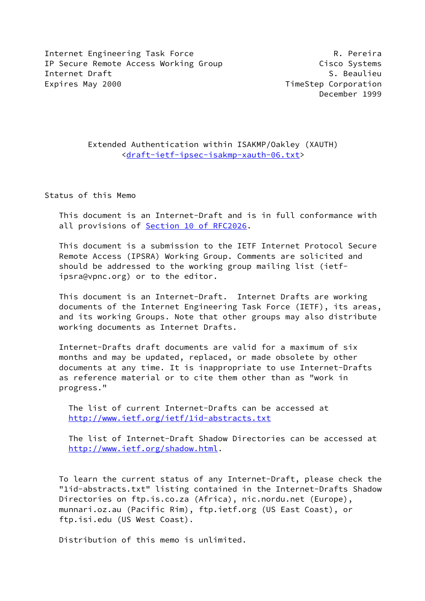Internet Engineering Task Force The Communication of the R. Pereira IP Secure Remote Access Working Group Cisco Systems Internet Draft S. Beaulieu Expires May 2000 **TimeStep Corporation** 

December 1999

# Extended Authentication within ISAKMP/Oakley (XAUTH) [<draft-ietf-ipsec-isakmp-xauth-06.txt](https://datatracker.ietf.org/doc/pdf/draft-ietf-ipsec-isakmp-xauth-06.txt)>

Status of this Memo

 This document is an Internet-Draft and is in full conformance with all provisions of Section [10 of RFC2026.](https://datatracker.ietf.org/doc/pdf/rfc2026#section-10)

 This document is a submission to the IETF Internet Protocol Secure Remote Access (IPSRA) Working Group. Comments are solicited and should be addressed to the working group mailing list (ietf ipsra@vpnc.org) or to the editor.

 This document is an Internet-Draft. Internet Drafts are working documents of the Internet Engineering Task Force (IETF), its areas, and its working Groups. Note that other groups may also distribute working documents as Internet Drafts.

 Internet-Drafts draft documents are valid for a maximum of six months and may be updated, replaced, or made obsolete by other documents at any time. It is inappropriate to use Internet-Drafts as reference material or to cite them other than as "work in progress."

 The list of current Internet-Drafts can be accessed at <http://www.ietf.org/ietf/1id-abstracts.txt>

 The list of Internet-Draft Shadow Directories can be accessed at <http://www.ietf.org/shadow.html>.

 To learn the current status of any Internet-Draft, please check the "1id-abstracts.txt" listing contained in the Internet-Drafts Shadow Directories on ftp.is.co.za (Africa), nic.nordu.net (Europe), munnari.oz.au (Pacific Rim), ftp.ietf.org (US East Coast), or ftp.isi.edu (US West Coast).

Distribution of this memo is unlimited.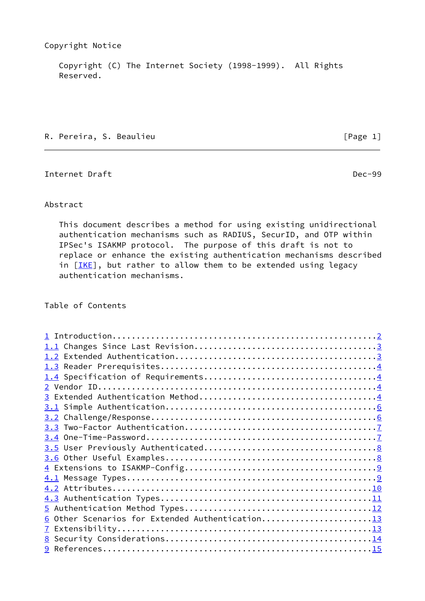Copyright (C) The Internet Society (1998-1999). All Rights Reserved.

R. Pereira, S. Beaulieu **can a component and contract to the Contract Contract Contract Contract Contract Control** 

<span id="page-1-0"></span>Internet Draft Dec-99

# Abstract

 This document describes a method for using existing unidirectional authentication mechanisms such as RADIUS, SecurID, and OTP within IPSec's ISAKMP protocol. The purpose of this draft is not to replace or enhance the existing authentication mechanisms described in  $[IKE]$ , but rather to allow them to be extended using legacy authentication mechanisms.

# Table of Contents

| 6 Other Scenarios for Extended Authentication13 |  |
|-------------------------------------------------|--|
|                                                 |  |
|                                                 |  |
|                                                 |  |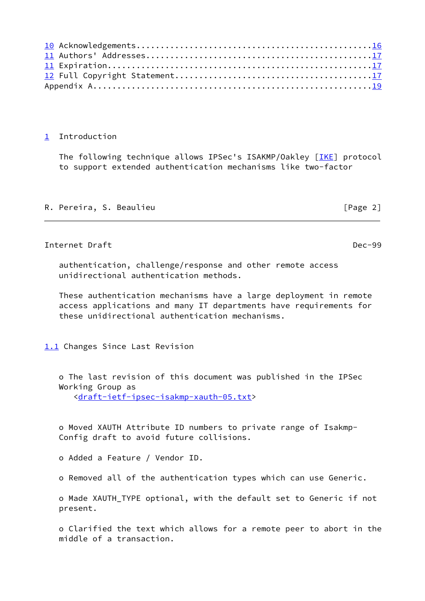## <span id="page-2-0"></span>[1](#page-2-0) Introduction

The following technique allows IPSec's ISAKMP/Oakley [\[IKE](#page-15-0)] protocol to support extended authentication mechanisms like two-factor

|  |  |  | R. Pereira, S. Beaulieu | [Page 2] |  |
|--|--|--|-------------------------|----------|--|
|--|--|--|-------------------------|----------|--|

# <span id="page-2-2"></span>Internet Draft Dec-99

 authentication, challenge/response and other remote access unidirectional authentication methods.

 These authentication mechanisms have a large deployment in remote access applications and many IT departments have requirements for these unidirectional authentication mechanisms.

<span id="page-2-1"></span>[1.1](#page-2-1) Changes Since Last Revision

 o The last revision of this document was published in the IPSec Working Group as

<[draft-ietf-ipsec-isakmp-xauth-05.txt>](https://datatracker.ietf.org/doc/pdf/draft-ietf-ipsec-isakmp-xauth-05.txt)

 o Moved XAUTH Attribute ID numbers to private range of Isakmp- Config draft to avoid future collisions.

o Added a Feature / Vendor ID.

o Removed all of the authentication types which can use Generic.

 o Made XAUTH\_TYPE optional, with the default set to Generic if not present.

 o Clarified the text which allows for a remote peer to abort in the middle of a transaction.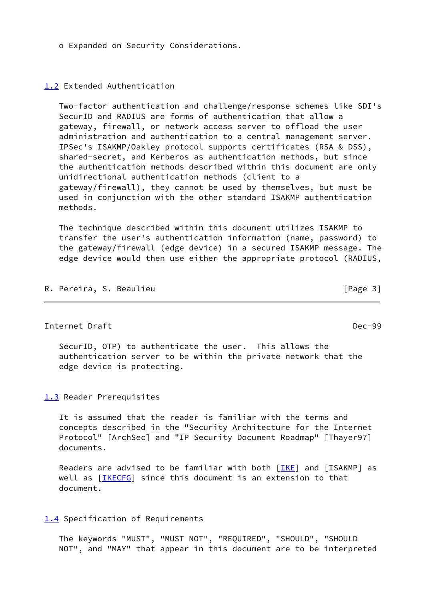o Expanded on Security Considerations.

### <span id="page-3-0"></span>[1.2](#page-3-0) Extended Authentication

 Two-factor authentication and challenge/response schemes like SDI's SecurID and RADIUS are forms of authentication that allow a gateway, firewall, or network access server to offload the user administration and authentication to a central management server. IPSec's ISAKMP/Oakley protocol supports certificates (RSA & DSS), shared-secret, and Kerberos as authentication methods, but since the authentication methods described within this document are only unidirectional authentication methods (client to a gateway/firewall), they cannot be used by themselves, but must be used in conjunction with the other standard ISAKMP authentication methods.

 The technique described within this document utilizes ISAKMP to transfer the user's authentication information (name, password) to the gateway/firewall (edge device) in a secured ISAKMP message. The edge device would then use either the appropriate protocol (RADIUS,

R. Pereira, S. Beaulieu **can a component and contract to the Contract Contract Contract Contract Contract Control** 

<span id="page-3-2"></span>Internet Draft Dec-99

 SecurID, OTP) to authenticate the user. This allows the authentication server to be within the private network that the edge device is protecting.

<span id="page-3-1"></span>[1.3](#page-3-1) Reader Prerequisites

 It is assumed that the reader is familiar with the terms and concepts described in the "Security Architecture for the Internet Protocol" [ArchSec] and "IP Security Document Roadmap" [Thayer97] documents.

Readers are advised to be familiar with both  $[IKE]$  $[IKE]$  and  $[ISAKMP]$  as well as [\[IKECFG](#page-17-2)] since this document is an extension to that document.

<span id="page-3-3"></span>[1.4](#page-3-3) Specification of Requirements

 The keywords "MUST", "MUST NOT", "REQUIRED", "SHOULD", "SHOULD NOT", and "MAY" that appear in this document are to be interpreted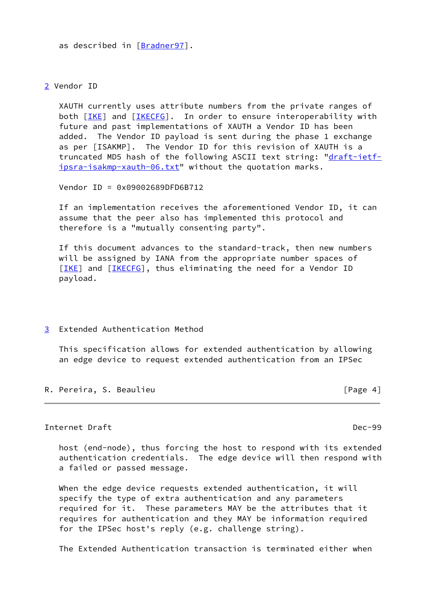as described in [\[Bradner97](#page-16-2)].

<span id="page-4-0"></span>[2](#page-4-0) Vendor ID

 XAUTH currently uses attribute numbers from the private ranges of both [\[IKE](#page-15-0)] and [\[IKECFG](#page-17-2)]. In order to ensure interoperability with future and past implementations of XAUTH a Vendor ID has been added. The Vendor ID payload is sent during the phase 1 exchange as per [ISAKMP]. The Vendor ID for this revision of XAUTH is a truncated MD5 hash of the following ASCII text string: ["draft-ietf](https://datatracker.ietf.org/doc/pdf/draft-ietf-ipsra-isakmp-xauth-06.txt) [ipsra-isakmp-xauth-06.txt](https://datatracker.ietf.org/doc/pdf/draft-ietf-ipsra-isakmp-xauth-06.txt)" without the quotation marks.

Vendor ID = 0x09002689DFD6B712

 If an implementation receives the aforementioned Vendor ID, it can assume that the peer also has implemented this protocol and therefore is a "mutually consenting party".

 If this document advances to the standard-track, then new numbers will be assigned by IANA from the appropriate number spaces of [\[IKE](#page-15-0)] and [[IKECFG](#page-17-2)], thus eliminating the need for a Vendor ID payload.

<span id="page-4-1"></span>[3](#page-4-1) Extended Authentication Method

 This specification allows for extended authentication by allowing an edge device to request extended authentication from an IPSec

R. Pereira, S. Beaulieu **can a component and contract to the Contract Contract Contract Contract Contract Control** 

Internet Draft Dec-99

 host (end-node), thus forcing the host to respond with its extended authentication credentials. The edge device will then respond with a failed or passed message.

 When the edge device requests extended authentication, it will specify the type of extra authentication and any parameters required for it. These parameters MAY be the attributes that it requires for authentication and they MAY be information required for the IPSec host's reply (e.g. challenge string).

The Extended Authentication transaction is terminated either when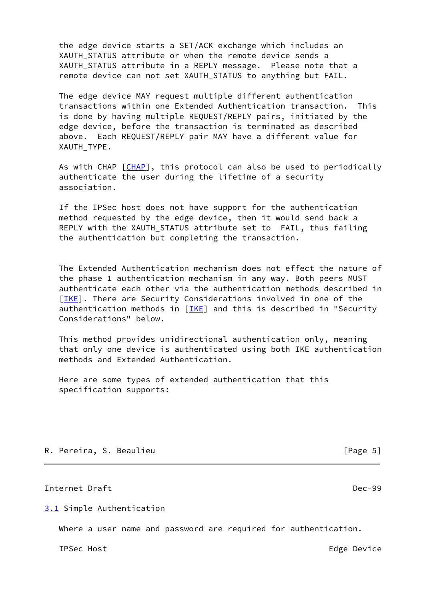the edge device starts a SET/ACK exchange which includes an XAUTH\_STATUS attribute or when the remote device sends a XAUTH STATUS attribute in a REPLY message. Please note that a remote device can not set XAUTH\_STATUS to anything but FAIL.

 The edge device MAY request multiple different authentication transactions within one Extended Authentication transaction. This is done by having multiple REQUEST/REPLY pairs, initiated by the edge device, before the transaction is terminated as described above. Each REQUEST/REPLY pair MAY have a different value for XAUTH\_TYPE.

As with CHAP [\[CHAP](#page-16-3)], this protocol can also be used to periodically authenticate the user during the lifetime of a security association.

 If the IPSec host does not have support for the authentication method requested by the edge device, then it would send back a REPLY with the XAUTH\_STATUS attribute set to FAIL, thus failing the authentication but completing the transaction.

 The Extended Authentication mechanism does not effect the nature of the phase 1 authentication mechanism in any way. Both peers MUST authenticate each other via the authentication methods described in [\[IKE](#page-15-0)]. There are Security Considerations involved in one of the authentication methods in  $[IKE]$  $[IKE]$  $[IKE]$  and this is described in "Security Considerations" below.

 This method provides unidirectional authentication only, meaning that only one device is authenticated using both IKE authentication methods and Extended Authentication.

 Here are some types of extended authentication that this specification supports:

 $[Page 5]$ 

# <span id="page-5-1"></span>Internet Draft Dec-99

<span id="page-5-0"></span>[3.1](#page-5-0) Simple Authentication

Where a user name and password are required for authentication.

IPSec Host **Edge** Device **Edge** Device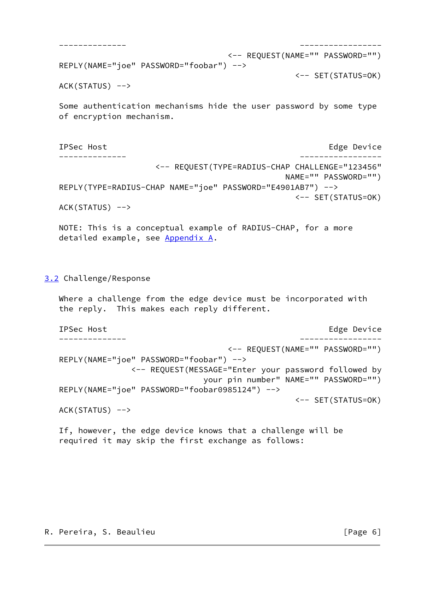```
 -------------- -----------------
                              <-- REQUEST(NAME="" PASSWORD="")
 REPLY(NAME="joe" PASSWORD="foobar") -->
                                          <-- SET(STATUS=OK)
ACK(STATUS) -->
```
 Some authentication mechanisms hide the user password by some type of encryption mechanism.

IPSec Host **Edge** Device **Edge** Device -------------- ----------------- <-- REQUEST(TYPE=RADIUS-CHAP CHALLENGE="123456" NAME="" PASSWORD="") REPLY(TYPE=RADIUS-CHAP NAME="joe" PASSWORD="E4901AB7") --> <-- SET(STATUS=OK)

 $ACK(STATUS)$  -->

 NOTE: This is a conceptual example of RADIUS-CHAP, for a more detailed example, see Appendix A.

# <span id="page-6-0"></span>[3.2](#page-6-0) Challenge/Response

 Where a challenge from the edge device must be incorporated with the reply. This makes each reply different.

```
IPSec Host Edge Device Edge Device
 -------------- -----------------
                              <-- REQUEST(NAME="" PASSWORD="")
 REPLY(NAME="joe" PASSWORD="foobar") -->
             <-- REQUEST(MESSAGE="Enter your password followed by
                          your pin number" NAME="" PASSWORD="")
 REPLY(NAME="joe" PASSWORD="foobar0985124") -->
                                          <-- SET(STATUS=OK)
ACK(STATUS) -->
```
 If, however, the edge device knows that a challenge will be required it may skip the first exchange as follows: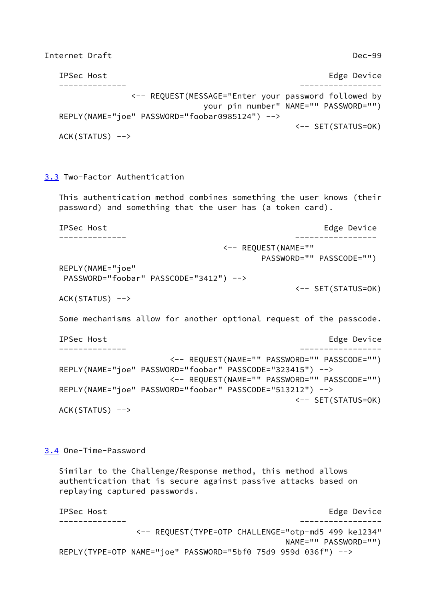<span id="page-7-1"></span>Internet Draft Dec-99

| IPSec Host                                           | Edge Device                           |
|------------------------------------------------------|---------------------------------------|
|                                                      |                                       |
| <-- REQUEST(MESSAGE="Enter your password followed by |                                       |
|                                                      | your pin number" NAME="" PASSWORD="") |
| REPLY(NAME="joe" PASSWORD="foobar0985124") -->       |                                       |
|                                                      | $\leftarrow$ SET(STATUS=0K)           |
| $ACK(STATUS)$ -->                                    |                                       |

# <span id="page-7-0"></span>[3.3](#page-7-0) Two-Factor Authentication

 This authentication method combines something the user knows (their password) and something that the user has (a token card).

IPSec Host **Edge** Device **Edge** Device -------------- ----------------- <-- REQUEST(NAME="" PASSWORD="" PASSCODE="") REPLY(NAME="joe" PASSWORD="foobar" PASSCODE="3412") --> <-- SET(STATUS=OK) ACK(STATUS) -->

Some mechanisms allow for another optional request of the passcode.

```
IPSec Host Edge Device Edge Device
 -------------- -----------------
                    <-- REQUEST(NAME="" PASSWORD="" PASSCODE="")
 REPLY(NAME="joe" PASSWORD="foobar" PASSCODE="323415") -->
                    <-- REQUEST(NAME="" PASSWORD="" PASSCODE="")
 REPLY(NAME="joe" PASSWORD="foobar" PASSCODE="513212") -->
                                          <-- SET(STATUS=OK)
 ACK(STATUS) -->
```
<span id="page-7-2"></span>[3.4](#page-7-2) One-Time-Password

 Similar to the Challenge/Response method, this method allows authentication that is secure against passive attacks based on replaying captured passwords.

IPSec Host **Edge** Device -------------- ----------------- <-- REQUEST(TYPE=OTP CHALLENGE="otp-md5 499 ke1234" NAME="" PASSWORD="") REPLY(TYPE=OTP NAME="joe" PASSWORD="5bf0 75d9 959d 036f") -->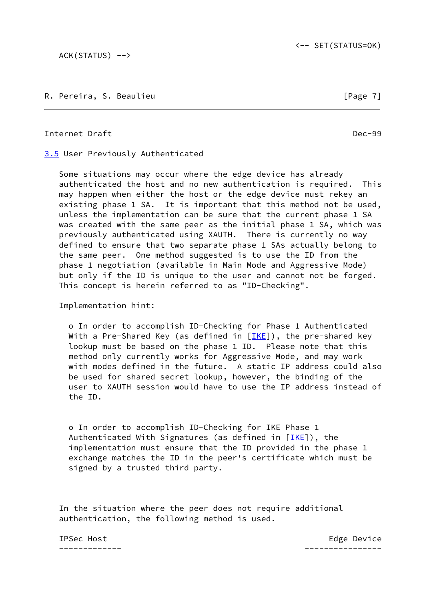ACK(STATUS) -->

R. Pereira, S. Beaulieu **can a component and contract to the Contract Contract Contract Contract Contract Contract Contract Contract Contract Contract Contract Contract Contract Contract Contract Contract Contract Contract** 

<span id="page-8-1"></span>Internet Draft **Draft** Dec-99

<span id="page-8-0"></span>[3.5](#page-8-0) User Previously Authenticated

 Some situations may occur where the edge device has already authenticated the host and no new authentication is required. This may happen when either the host or the edge device must rekey an existing phase 1 SA. It is important that this method not be used, unless the implementation can be sure that the current phase 1 SA was created with the same peer as the initial phase 1 SA, which was previously authenticated using XAUTH. There is currently no way defined to ensure that two separate phase 1 SAs actually belong to the same peer. One method suggested is to use the ID from the phase 1 negotiation (available in Main Mode and Aggressive Mode) but only if the ID is unique to the user and cannot not be forged. This concept is herein referred to as "ID-Checking".

Implementation hint:

 o In order to accomplish ID-Checking for Phase 1 Authenticated With a Pre-Shared Key (as defined in  $[IKE]$ ), the pre-shared key lookup must be based on the phase 1 ID. Please note that this method only currently works for Aggressive Mode, and may work with modes defined in the future. A static IP address could also be used for shared secret lookup, however, the binding of the user to XAUTH session would have to use the IP address instead of the ID.

 o In order to accomplish ID-Checking for IKE Phase 1 Authenticated With Signatures (as defined in  $[IKE]$ ), the implementation must ensure that the ID provided in the phase 1 exchange matches the ID in the peer's certificate which must be signed by a trusted third party.

 In the situation where the peer does not require additional authentication, the following method is used.

------------- ----------------

IPSec Host **Edge** Device **Edge** Device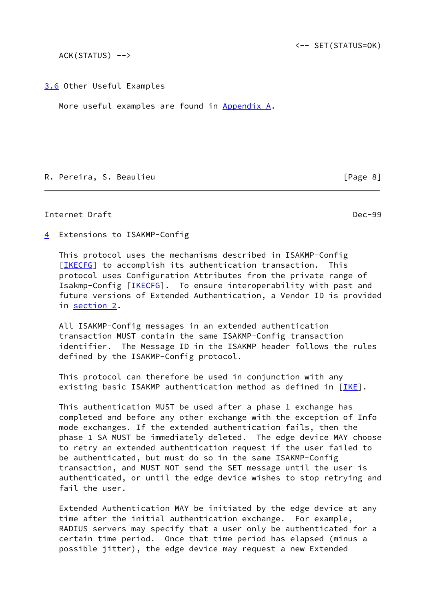ACK(STATUS) -->

<span id="page-9-0"></span>[3.6](#page-9-0) Other Useful Examples

More useful examples are found in Appendix A.

R. Pereira, S. Beaulieu [Page 8]

<span id="page-9-2"></span>Internet Draft Dec-99

<span id="page-9-1"></span>[4](#page-9-1) Extensions to ISAKMP-Config

 This protocol uses the mechanisms described in ISAKMP-Config [\[IKECFG](#page-17-2)] to accomplish its authentication transaction. This protocol uses Configuration Attributes from the private range of Isakmp-Config [[IKECFG](#page-17-2)]. To ensure interoperability with past and future versions of Extended Authentication, a Vendor ID is provided in [section 2.](#page-4-0)

 All ISAKMP-Config messages in an extended authentication transaction MUST contain the same ISAKMP-Config transaction identifier. The Message ID in the ISAKMP header follows the rules defined by the ISAKMP-Config protocol.

 This protocol can therefore be used in conjunction with any existing basic ISAKMP authentication method as defined in  $[IKE]$  $[IKE]$  $[IKE]$ .

 This authentication MUST be used after a phase 1 exchange has completed and before any other exchange with the exception of Info mode exchanges. If the extended authentication fails, then the phase 1 SA MUST be immediately deleted. The edge device MAY choose to retry an extended authentication request if the user failed to be authenticated, but must do so in the same ISAKMP-Config transaction, and MUST NOT send the SET message until the user is authenticated, or until the edge device wishes to stop retrying and fail the user.

 Extended Authentication MAY be initiated by the edge device at any time after the initial authentication exchange. For example, RADIUS servers may specify that a user only be authenticated for a certain time period. Once that time period has elapsed (minus a possible jitter), the edge device may request a new Extended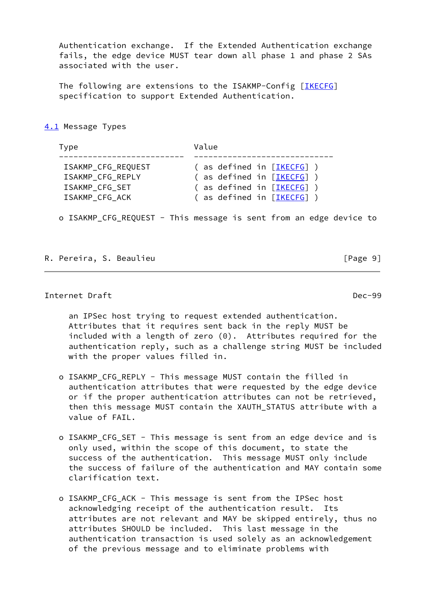Authentication exchange. If the Extended Authentication exchange fails, the edge device MUST tear down all phase 1 and phase 2 SAs associated with the user.

The following are extensions to the ISAKMP-Config [[IKECFG](#page-17-2)] specification to support Extended Authentication.

<span id="page-10-0"></span>[4.1](#page-10-0) Message Types

Type **Value**  -------------------------- ----------------------------- ISAKMP\_CFG\_REQUEST ( as defined in [<u>IKECFG</u>] ) ISAKMP\_CFG\_REPLY ( as defined in [<u>IKECFG</u>] ) ISAKMP\_CFG\_SET ( as defined in [<u>IKECFG</u>] ) ISAKMP\_CFG\_ACK ( as defined in [<u>IKECFG</u>] )

o ISAKMP\_CFG\_REQUEST - This message is sent from an edge device to

R. Pereira, S. Beaulieu [Page 9]

<span id="page-10-1"></span>Internet Draft Dec-99

 an IPSec host trying to request extended authentication. Attributes that it requires sent back in the reply MUST be included with a length of zero (0). Attributes required for the authentication reply, such as a challenge string MUST be included with the proper values filled in.

- o ISAKMP\_CFG\_REPLY This message MUST contain the filled in authentication attributes that were requested by the edge device or if the proper authentication attributes can not be retrieved, then this message MUST contain the XAUTH\_STATUS attribute with a value of FAIL.
- o ISAKMP\_CFG\_SET This message is sent from an edge device and is only used, within the scope of this document, to state the success of the authentication. This message MUST only include the success of failure of the authentication and MAY contain some clarification text.
- o ISAKMP\_CFG\_ACK This message is sent from the IPSec host acknowledging receipt of the authentication result. Its attributes are not relevant and MAY be skipped entirely, thus no attributes SHOULD be included. This last message in the authentication transaction is used solely as an acknowledgement of the previous message and to eliminate problems with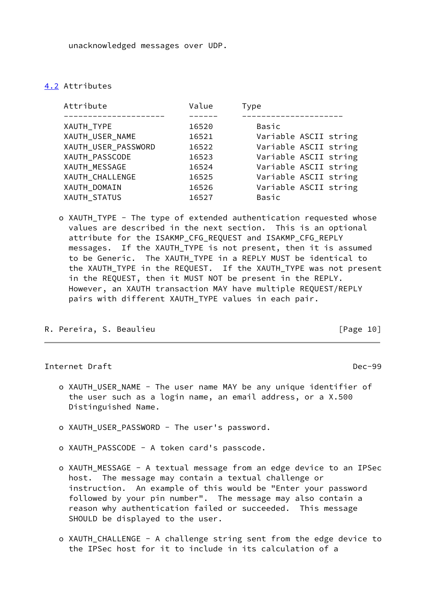unacknowledged messages over UDP.

## <span id="page-11-0"></span>[4.2](#page-11-0) Attributes

| Attribute           | Value | Type                  |
|---------------------|-------|-----------------------|
|                     |       |                       |
| XAUTH_TYPE          | 16520 | Basic                 |
| XAUTH_USER_NAME     | 16521 | Variable ASCII string |
| XAUTH_USER_PASSWORD | 16522 | Variable ASCII string |
| XAUTH_PASSCODE      | 16523 | Variable ASCII string |
| XAUTH_MESSAGE       | 16524 | Variable ASCII string |
| XAUTH CHALLENGE     | 16525 | Variable ASCII string |
| XAUTH_DOMAIN        | 16526 | Variable ASCII string |
| XAUTH STATUS        | 16527 | Basic                 |
|                     |       |                       |

 o XAUTH\_TYPE - The type of extended authentication requested whose values are described in the next section. This is an optional attribute for the ISAKMP\_CFG\_REQUEST and ISAKMP\_CFG\_REPLY messages. If the XAUTH\_TYPE is not present, then it is assumed to be Generic. The XAUTH\_TYPE in a REPLY MUST be identical to the XAUTH\_TYPE in the REQUEST. If the XAUTH\_TYPE was not present in the REQUEST, then it MUST NOT be present in the REPLY. However, an XAUTH transaction MAY have multiple REQUEST/REPLY pairs with different XAUTH\_TYPE values in each pair.

R. Pereira, S. Beaulieu **can a component and contract to the Contract Contract Contract Contract Contract Contract Contract Contract Contract Contract Contract Contract Contract Contract Contract Contract Contract Contract** 

<span id="page-11-1"></span>Internet Draft Dec-99

- o XAUTH\_USER\_NAME The user name MAY be any unique identifier of the user such as a login name, an email address, or a X.500 Distinguished Name.
- o XAUTH\_USER\_PASSWORD The user's password.
- o XAUTH\_PASSCODE A token card's passcode.
- o XAUTH\_MESSAGE A textual message from an edge device to an IPSec host. The message may contain a textual challenge or instruction. An example of this would be "Enter your password followed by your pin number". The message may also contain a reason why authentication failed or succeeded. This message SHOULD be displayed to the user.
- o XAUTH\_CHALLENGE A challenge string sent from the edge device to the IPSec host for it to include in its calculation of a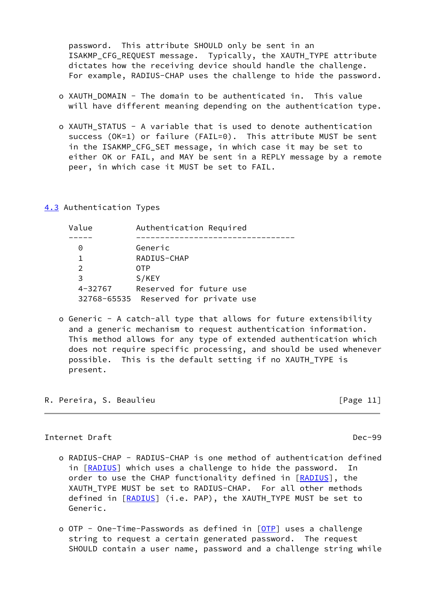password. This attribute SHOULD only be sent in an ISAKMP\_CFG\_REQUEST message. Typically, the XAUTH\_TYPE attribute dictates how the receiving device should handle the challenge. For example, RADIUS-CHAP uses the challenge to hide the password.

- o XAUTH DOMAIN The domain to be authenticated in. This value will have different meaning depending on the authentication type.
- o XAUTH\_STATUS A variable that is used to denote authentication success (OK=1) or failure (FAIL=0). This attribute MUST be sent in the ISAKMP\_CFG\_SET message, in which case it may be set to either OK or FAIL, and MAY be sent in a REPLY message by a remote peer, in which case it MUST be set to FAIL.

### <span id="page-12-0"></span>[4.3](#page-12-0) Authentication Types

| Authentication Required              |  |
|--------------------------------------|--|
|                                      |  |
| Generic                              |  |
| RADIUS-CHAP                          |  |
| 0TP                                  |  |
| S/KEY                                |  |
| Reserved for future use              |  |
| 32768-65535 Reserved for private use |  |
|                                      |  |

 o Generic - A catch-all type that allows for future extensibility and a generic mechanism to request authentication information. This method allows for any type of extended authentication which does not require specific processing, and should be used whenever possible. This is the default setting if no XAUTH\_TYPE is present.

R. Pereira, S. Beaulieu **can anno 2008** [Page 11]

# <span id="page-12-1"></span>Internet Draft Dec-99

- o RADIUS-CHAP RADIUS-CHAP is one method of authentication defined in [\[RADIUS](#page-17-3)] which uses a challenge to hide the password. In order to use the CHAP functionality defined in [\[RADIUS](#page-17-3)], the XAUTH\_TYPE MUST be set to RADIUS-CHAP. For all other methods defined in [\[RADIUS](#page-17-3)] (i.e. PAP), the XAUTH TYPE MUST be set to Generic.
- o OTP One-Time-Passwords as defined in [\[OTP](#page-17-4)] uses a challenge string to request a certain generated password. The request SHOULD contain a user name, password and a challenge string while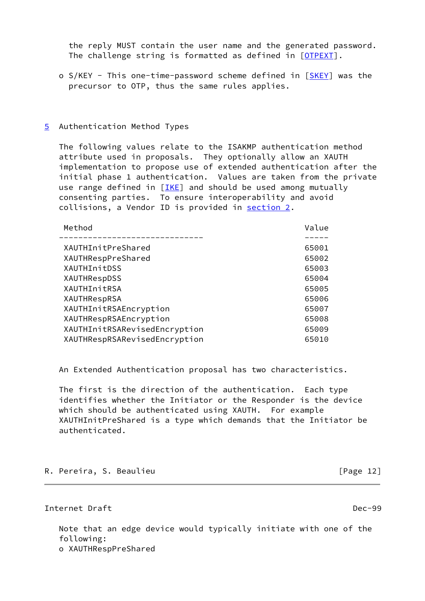the reply MUST contain the user name and the generated password. The challenge string is formatted as defined in [[OTPEXT](#page-17-5)].

- o S/KEY This one-time-password scheme defined in [[SKEY\]](#page-17-6) was the precursor to OTP, thus the same rules applies.
- <span id="page-13-0"></span>[5](#page-13-0) Authentication Method Types

 The following values relate to the ISAKMP authentication method attribute used in proposals. They optionally allow an XAUTH implementation to propose use of extended authentication after the initial phase 1 authentication. Values are taken from the private use range defined in  $[IKE]$  and should be used among mutually consenting parties. To ensure interoperability and avoid collisions, a Vendor ID is provided in [section 2.](#page-4-0)

| Method                        | Value |
|-------------------------------|-------|
|                               |       |
| XAUTHInitPreShared            | 65001 |
| XAUTHRespPreShared            | 65002 |
| XAUTHInitDSS                  | 65003 |
| XAUTHRespDSS                  | 65004 |
| XAUTHInitRSA                  | 65005 |
| XAUTHRespRSA                  | 65006 |
| XAUTHInitRSAEncryption        | 65007 |
| XAUTHRespRSAEncryption        | 65008 |
| XAUTHInitRSARevisedEncryption | 65009 |
| XAUTHRespRSARevisedEncryption | 65010 |

An Extended Authentication proposal has two characteristics.

 The first is the direction of the authentication. Each type identifies whether the Initiator or the Responder is the device which should be authenticated using XAUTH. For example XAUTHInitPreShared is a type which demands that the Initiator be authenticated.

R. Pereira, S. Beaulieu **can anno 2018** [Page 12]

<span id="page-13-1"></span>Internet Draft Dec-99

 Note that an edge device would typically initiate with one of the following: o XAUTHRespPreShared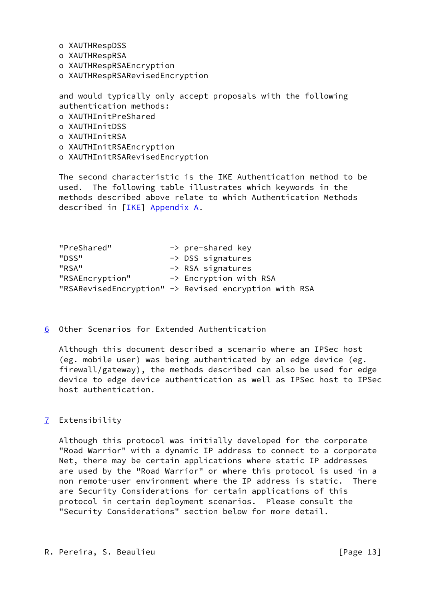- o XAUTHRespDSS
- o XAUTHRespRSA
- o XAUTHRespRSAEncryption
- o XAUTHRespRSARevisedEncryption

 and would typically only accept proposals with the following authentication methods:

- o XAUTHInitPreShared
- o XAUTHInitDSS
- o XAUTHInitRSA
- o XAUTHInitRSAEncryption
- o XAUTHInitRSARevisedEncryption

 The second characteristic is the IKE Authentication method to be used. The following table illustrates which keywords in the methods described above relate to which Authentication Methods described in [\[IKE](#page-15-0)] Appendix A.

"PreShared" -> pre-shared key "DSS" -> DSS signatures "RSA" -> RSA signatures "RSAEncryption" -> Encryption with RSA "RSARevisedEncryption" -> Revised encryption with RSA

<span id="page-14-0"></span>[6](#page-14-0) Other Scenarios for Extended Authentication

 Although this document described a scenario where an IPSec host (eg. mobile user) was being authenticated by an edge device (eg. firewall/gateway), the methods described can also be used for edge device to edge device authentication as well as IPSec host to IPSec host authentication.

<span id="page-14-1"></span>[7](#page-14-1) Extensibility

 Although this protocol was initially developed for the corporate "Road Warrior" with a dynamic IP address to connect to a corporate Net, there may be certain applications where static IP addresses are used by the "Road Warrior" or where this protocol is used in a non remote-user environment where the IP address is static. There are Security Considerations for certain applications of this protocol in certain deployment scenarios. Please consult the "Security Considerations" section below for more detail.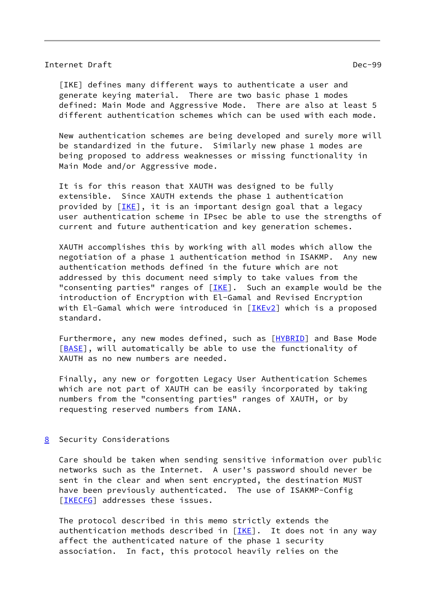### <span id="page-15-2"></span>Internet Draft Dec-99

<span id="page-15-0"></span> [IKE] defines many different ways to authenticate a user and generate keying material. There are two basic phase 1 modes defined: Main Mode and Aggressive Mode. There are also at least 5 different authentication schemes which can be used with each mode.

 New authentication schemes are being developed and surely more will be standardized in the future. Similarly new phase 1 modes are being proposed to address weaknesses or missing functionality in Main Mode and/or Aggressive mode.

 It is for this reason that XAUTH was designed to be fully extensible. Since XAUTH extends the phase 1 authentication provided by  $[IKE],$  it is an important design goal that a legacy user authentication scheme in IPsec be able to use the strengths of current and future authentication and key generation schemes.

 XAUTH accomplishes this by working with all modes which allow the negotiation of a phase 1 authentication method in ISAKMP. Any new authentication methods defined in the future which are not addressed by this document need simply to take values from the "consenting parties" ranges of  $[IKE]$ . Such an example would be the introduction of Encryption with El-Gamal and Revised Encryption with El-Gamal which were introduced in [\[IKEv2](#page-17-7)] which is a proposed standard.

Furthermore, any new modes defined, such as [\[HYBRID](#page-17-8)] and Base Mode [\[BASE](#page-16-4)], will automatically be able to use the functionality of XAUTH as no new numbers are needed.

 Finally, any new or forgotten Legacy User Authentication Schemes which are not part of XAUTH can be easily incorporated by taking numbers from the "consenting parties" ranges of XAUTH, or by requesting reserved numbers from IANA.

<span id="page-15-1"></span>[8](#page-15-1) Security Considerations

 Care should be taken when sending sensitive information over public networks such as the Internet. A user's password should never be sent in the clear and when sent encrypted, the destination MUST have been previously authenticated. The use of ISAKMP-Config [\[IKECFG](#page-17-2)] addresses these issues.

 The protocol described in this memo strictly extends the authentication methods described in [\[IKE](#page-15-0)]. It does not in any way affect the authenticated nature of the phase 1 security association. In fact, this protocol heavily relies on the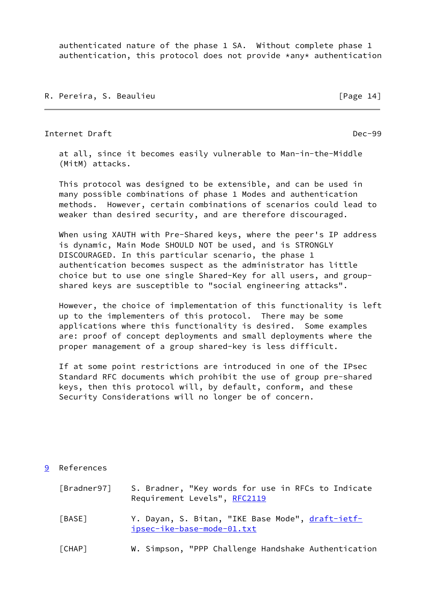authenticated nature of the phase 1 SA. Without complete phase 1 authentication, this protocol does not provide \*any\* authentication

R. Pereira, S. Beaulieu **can a component and the Contract Contract Contract Contract Contract Contract Contract Contract Contract Contract Contract Contract Contract Contract Contract Contract Contract Contract Contract Co** 

<span id="page-16-1"></span>Internet Draft Dec-99

 at all, since it becomes easily vulnerable to Man-in-the-Middle (MitM) attacks.

 This protocol was designed to be extensible, and can be used in many possible combinations of phase 1 Modes and authentication methods. However, certain combinations of scenarios could lead to weaker than desired security, and are therefore discouraged.

 When using XAUTH with Pre-Shared keys, where the peer's IP address is dynamic, Main Mode SHOULD NOT be used, and is STRONGLY DISCOURAGED. In this particular scenario, the phase 1 authentication becomes suspect as the administrator has little choice but to use one single Shared-Key for all users, and group shared keys are susceptible to "social engineering attacks".

 However, the choice of implementation of this functionality is left up to the implementers of this protocol. There may be some applications where this functionality is desired. Some examples are: proof of concept deployments and small deployments where the proper management of a group shared-key is less difficult.

 If at some point restrictions are introduced in one of the IPsec Standard RFC documents which prohibit the use of group pre-shared keys, then this protocol will, by default, conform, and these Security Considerations will no longer be of concern.

# <span id="page-16-0"></span>[9](#page-16-0) References

<span id="page-16-4"></span><span id="page-16-3"></span><span id="page-16-2"></span>

| [Bradner97] | S. Bradner, "Key words for use in RFCs to Indicate<br>Requirement Levels", RFC2119 |
|-------------|------------------------------------------------------------------------------------|
| [BASE]      | Y. Dayan, S. Bitan, "IKE Base Mode", draft-ietf-<br>ipsec-ike-base-mode-01.txt     |
| [CHAP]      | W. Simpson, "PPP Challenge Handshake Authentication                                |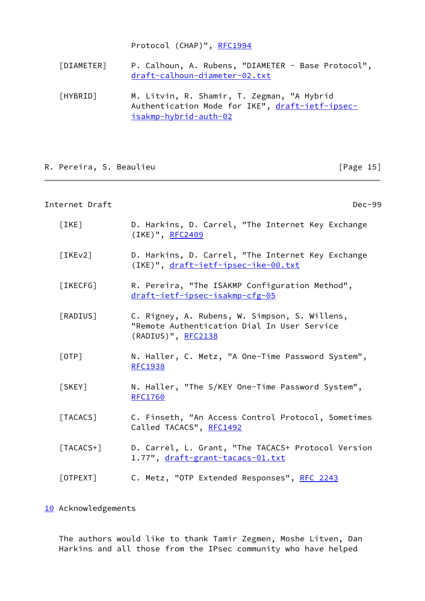Protocol (CHAP)", [RFC1994](https://datatracker.ietf.org/doc/pdf/rfc1994)

- [DIAMETER] P. Calhoun, A. Rubens, "DIAMETER Base Protocol", [draft-calhoun-diameter-02.txt](https://datatracker.ietf.org/doc/pdf/draft-calhoun-diameter-02.txt)
- <span id="page-17-8"></span> [HYBRID] M. Litvin, R. Shamir, T. Zegman, "A Hybrid Authentication Mode for IKE", [draft-ietf-ipsec](https://datatracker.ietf.org/doc/pdf/draft-ietf-ipsec-isakmp-hybrid-auth-02) [isakmp-hybrid-auth-02](https://datatracker.ietf.org/doc/pdf/draft-ietf-ipsec-isakmp-hybrid-auth-02)

# R. Pereira, S. Beaulieu **can a component and contract to the Contract Contract Contract Contract Contract Control**

## <span id="page-17-1"></span>Internet Draft Dec-99

<span id="page-17-7"></span><span id="page-17-4"></span><span id="page-17-3"></span><span id="page-17-2"></span> [IKE] D. Harkins, D. Carrel, "The Internet Key Exchange (IKE)", [RFC2409](https://datatracker.ietf.org/doc/pdf/rfc2409) [IKEv2] D. Harkins, D. Carrel, "The Internet Key Exchange (IKE)", [draft-ietf-ipsec-ike-00.txt](https://datatracker.ietf.org/doc/pdf/draft-ietf-ipsec-ike-00.txt) [IKECFG] R. Pereira, "The ISAKMP Configuration Method", [draft-ietf-ipsec-isakmp-cfg-05](https://datatracker.ietf.org/doc/pdf/draft-ietf-ipsec-isakmp-cfg-05) [RADIUS] C. Rigney, A. Rubens, W. Simpson, S. Willens, "Remote Authentication Dial In User Service (RADIUS)", [RFC2138](https://datatracker.ietf.org/doc/pdf/rfc2138) [OTP] N. Haller, C. Metz, "A One-Time Password System", [RFC1938](https://datatracker.ietf.org/doc/pdf/rfc1938) [SKEY] N. Haller, "The S/KEY One-Time Password System", [RFC1760](https://datatracker.ietf.org/doc/pdf/rfc1760) [TACACS] C. Finseth, "An Access Control Protocol, Sometimes Called TACACS", [RFC1492](https://datatracker.ietf.org/doc/pdf/rfc1492) [TACACS+] D. Carrel, L. Grant, "The TACACS+ Protocol Version 1.77", [draft-grant-tacacs-01.txt](https://datatracker.ietf.org/doc/pdf/draft-grant-tacacs-01.txt) [OTPEXT] C. Metz, "OTP Extended Responses", [RFC 2243](https://datatracker.ietf.org/doc/pdf/rfc2243)

## <span id="page-17-6"></span><span id="page-17-5"></span><span id="page-17-0"></span>[10](#page-17-0) Acknowledgements

 The authors would like to thank Tamir Zegmen, Moshe Litven, Dan Harkins and all those from the IPsec community who have helped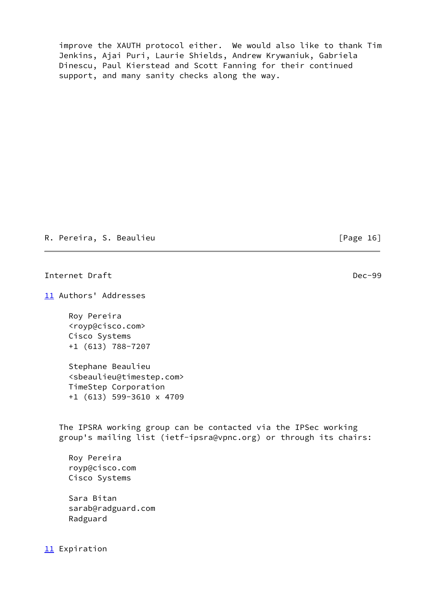improve the XAUTH protocol either. We would also like to thank Tim Jenkins, Ajai Puri, Laurie Shields, Andrew Krywaniuk, Gabriela Dinescu, Paul Kierstead and Scott Fanning for their continued support, and many sanity checks along the way.

R. Pereira, S. Beaulieu **can a component and contract and contract a** contract a set of  $[Page 16]$ 

<span id="page-18-1"></span>Internet Draft Dec-99

<span id="page-18-0"></span>[11](#page-18-0) Authors' Addresses

 Roy Pereira <royp@cisco.com> Cisco Systems +1 (613) 788-7207

 Stephane Beaulieu <sbeaulieu@timestep.com> TimeStep Corporation +1 (613) 599-3610 x 4709

 The IPSRA working group can be contacted via the IPSec working group's mailing list (ietf-ipsra@vpnc.org) or through its chairs:

 Roy Pereira royp@cisco.com Cisco Systems

 Sara Bitan sarab@radguard.com Radguard

[11](#page-18-0) Expiration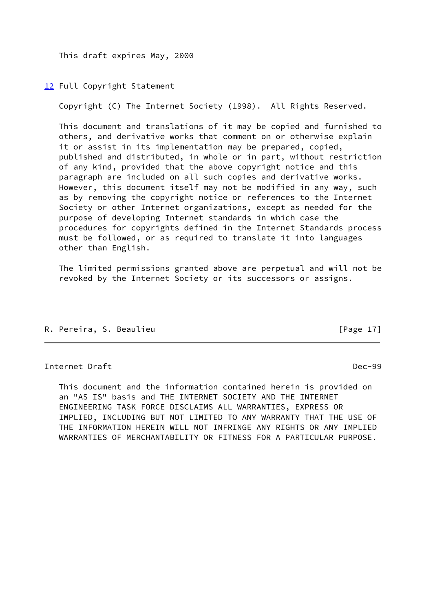This draft expires May, 2000

<span id="page-19-0"></span>[12](#page-19-0) Full Copyright Statement

Copyright (C) The Internet Society (1998). All Rights Reserved.

 This document and translations of it may be copied and furnished to others, and derivative works that comment on or otherwise explain it or assist in its implementation may be prepared, copied, published and distributed, in whole or in part, without restriction of any kind, provided that the above copyright notice and this paragraph are included on all such copies and derivative works. However, this document itself may not be modified in any way, such as by removing the copyright notice or references to the Internet Society or other Internet organizations, except as needed for the purpose of developing Internet standards in which case the procedures for copyrights defined in the Internet Standards process must be followed, or as required to translate it into languages other than English.

 The limited permissions granted above are perpetual and will not be revoked by the Internet Society or its successors or assigns.

R. Pereira, S. Beaulieu [Page 17]

# Internet Draft Dec-99

 This document and the information contained herein is provided on an "AS IS" basis and THE INTERNET SOCIETY AND THE INTERNET ENGINEERING TASK FORCE DISCLAIMS ALL WARRANTIES, EXPRESS OR IMPLIED, INCLUDING BUT NOT LIMITED TO ANY WARRANTY THAT THE USE OF THE INFORMATION HEREIN WILL NOT INFRINGE ANY RIGHTS OR ANY IMPLIED WARRANTIES OF MERCHANTABILITY OR FITNESS FOR A PARTICULAR PURPOSE.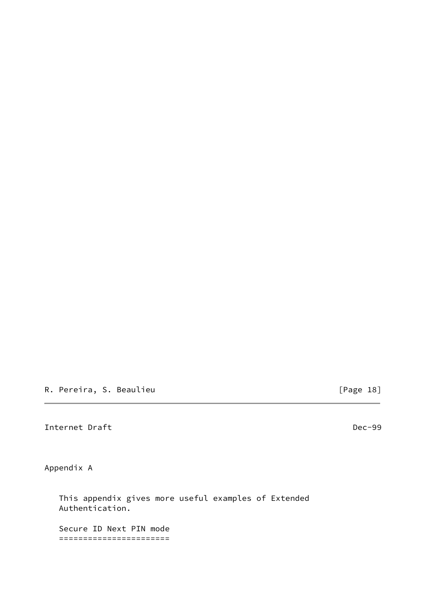R. Pereira, S. Beaulieu **can a component and contract to the Contract Contract Contract Contract Contract Control** 

<span id="page-20-0"></span>Internet Draft **Decamber 2008** 2014 12:30 and 2014 2022 2023

Appendix A

 This appendix gives more useful examples of Extended Authentication.

 Secure ID Next PIN mode =======================